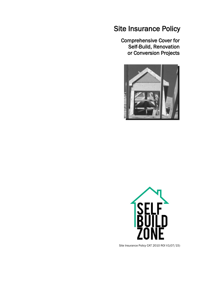## Site Insurance Policy

Comprehensive Cover for Self-Build, Renovation or Conversion Projects





Site Insurance Policy CAT 2010 ROI V1(07/15)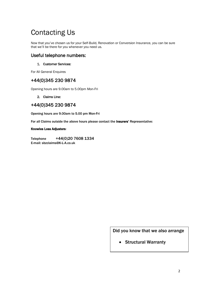# Contacting Us

Now that you've chosen us for your Self-Build, Renovation or Conversion Insurance, you can be sure that we'll be there for you whenever you need us.

### Useful telephone numbers:

#### 1. Customer Services:

For All General Enquires

## +44(0)345 230 9874

Opening hours are 9.00am to 5.00pm Mon-Fri

#### 2. Claims Line:

## +44(0)345 230 9874

Opening hours are 9.00am to 5.00 pm Mon-Fri

For all Claims outside the above hours please contact the Insurers' Representative:

#### Knowles Loss Adjusters:

Telephone +44(0)20 7608 1334 E-mail: sbzclaims@K-L-A.co.uk

Did you know that we also arrange

• Structural Warranty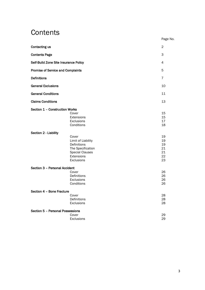## **Contents**

|                                          |                                                                                                                       | Page No.                               |
|------------------------------------------|-----------------------------------------------------------------------------------------------------------------------|----------------------------------------|
| Contacting us                            |                                                                                                                       | $\overline{2}$                         |
| <b>Contents Page</b>                     |                                                                                                                       | 3                                      |
| Self-Build Zone Site Insurance Policy    | 4                                                                                                                     |                                        |
| <b>Promise of Service and Complaints</b> |                                                                                                                       | 5                                      |
| <b>Definitions</b>                       |                                                                                                                       | $\overline{7}$                         |
| <b>General Exclusions</b>                |                                                                                                                       | 10                                     |
| <b>General Conditions</b>                |                                                                                                                       | 11                                     |
| <b>Claims Conditions</b>                 |                                                                                                                       | 13                                     |
| Section 1 - Construction Works           | Cover<br>Extensions<br>Exclusions<br>Conditions                                                                       | 15<br>15<br>17<br>18                   |
| Section 2 - Liability                    | Cover<br>Limit of Liability<br>Definitions<br>The Specification<br><b>Special Clauses</b><br>Extensions<br>Exclusions | 19<br>19<br>19<br>21<br>21<br>22<br>23 |
| Section 3 - Personal Accident            | Cover<br>Definitions<br>Exclusions<br>Conditions                                                                      | 26<br>26<br>26<br>26                   |
| Section 4 - Bone Fracture                | Cover<br>Definitions<br>Exclusions                                                                                    | 28<br>28<br>28                         |
| Section 5 - Personal Possessions         | Cover<br>Exclusions                                                                                                   | 29<br>29                               |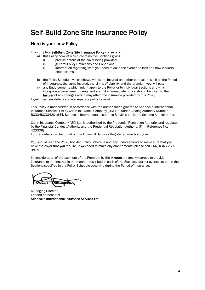## Self-Build Zone Site Insurance Policy

### Here is your new Policy

The complete Self-Build Zone Site Insurance Policy consists of:

- a) this Policy booklet which contains five Sections giving:
	- i) precise details of the cover being provided
	- ii) general Policy Definitions and Conditions
	- iii) information regarding what you need to do in the event of a loss and how Insurers settle claims.
- b) the Policy Schedule which shows who is the Insured and other particulars such as the Period of Insurance, the sums insured, the Limits of Liability and the premium you will pay.
- c) any Endorsements which might apply to the Policy or to individual Sections and which incorporate cover amendments and such like. Immediate notice should be given to the Insurer of any changes which may affect the insurance provided by this Policy.

Legal Expenses details are in a separate policy booklet.

This Policy is underwritten in accordance with the authorisation granted to Sennocke International Insurance Services Ltd by Catlin Insurance Company (UK) Ltd. under Binding Authority Number B0334SC334201644. Sennocke International Insurance Services Ltd is the Scheme Administrator.

Catlin Insurance Company (UK) Ltd. is authorised by the Prudential Regulation Authority and regulated by the Financial Conduct Authority and the Prudential Regulation Authority (Firm Reference No. 423308)

Further details can be found on the Financial Services Register at www.fca.org.uk.

You should read the Policy booklet. Policy Schedule and any Endorsements to make sure that you have the cover that you require. If you need to make any amendments, please call +44(0)345 230 9874.

In consideration of the payment of the Premium by the Insured the Insurer agrees to provide insurance to the Insured in the manner described in each of the Sections against events set out in the Sections specified in the Policy Schedule occurring during the Period of Insurance.

Managing Director For and on behalf of Sennocke International Insurance Services Ltd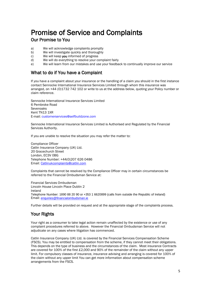## Promise of Service and Complaints

## Our Promise to You

- a) We will acknowledge complaints promptly
- b) We will investigate quickly and thoroughly
- c) We will keep you informed of progress
- d) We will do everything to resolve your complaint fairly
- e) We will learn from our mistakes and use your feedback to continually improve our service

## What to do if You have a Complaint

If you have a complaint about your insurance or the handling of a claim you should in the first instance contact Sennocke International Insurance Services Limited through whom this insurance was arranged, on +44 (0)1732 742 102 or write to us at the address below, quoting your Policy number or claim reference.

Sennocke International Insurance Services Limited 6 Pembroke Road Sevenoaks Kent TN13 1XR E-mail: customerservices@selfbuildzone.com

Sennocke International Insurance Services Limited is Authorised and Regulated by the Financial Services Authority.

If you are unable to resolve the situation you may refer the matter to:

Compliance Officer Catlin Insurance Company (UK) Ltd. 20 Gracechurch Street London, EC3V 0BG Telephone Number: +44(0)207 626 0486 Email: [Catlinukcomplaints@catlin.com](mailto:Catlinukcomplaints@catlin.com)

Complaints that cannot be resolved by the Compliance Officer may in certain circumstances be referred to the Financial Ombudsman Service at:

Financial Services Ombudsman Lincoln House Lincoln Place Dublin 2 Ireland Telephone Number: 1890 88 20 90 or +353 1 6620899 (calls from outside the Republic of Ireland) Email: [enquiries@financialombudsman.ie](mailto:enquiries@financialombudsman.ie)

Further details will be provided on request and at the appropriate stage of the complaints process.

## Your Rights

Your right as a consumer to take legal action remain unaffected by the existence or use of any complaint procedures referred to above. However the Financial Ombudsman Service will not adjudicate on any cases where litigation has commenced.

Catlin Insurance Company (UK) Ltd. is covered by the Financial Services Compensation Scheme (FSCS). You may be entitled to compensation from the scheme, if they cannot meet their obligations. This depends on the type of business and the circumstances of the claim. Most insurance Contracts are covered for 100% of the first £2,000 and 90% of the remainder of the claim without any upper limit. For compulsory classes of insurance, insurance advising and arranging is covered for 100% of the claim without any upper limit You can get more information about compensation scheme arrangements from the FSCS.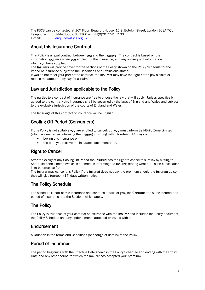The FSCS can be contacted at 10th Floor, Beaufort House, 15 St Botolph Street, London EC3A 7QU Telephone: +44(0)800 678 1100 or +44(0)20 7741 4100 E-mail: enquiries@fscs.org.uk

### About this Insurance Contract

This Policy is a legal contract between you and the Insurers. The contract is based on the information you gave when you applied for the insurance, and any subsequent information which you have supplied.

The Insurers will provide cover for the sections of the Policy shown on the Policy Schedule for the Period of Insurance subject to the Conditions and Exclusions stated.

If you do not meet your part of the contract, the Insurers may have the right not to pay a claim or reduce the amount they pay for a claim.

## Law and Jurisdiction applicable to the Policy

The parties to a contract of insurance are free to choose the law that will apply. Unless specifically agreed to the contrary this insurance shall be governed by the laws of England and Wales and subject to the exclusive jurisdiction of the courts of England and Wales.

The language of this contract of insurance will be English.

### Cooling Off Period (Consumers)

If this Policy is not suitable you are entitled to cancel, but you must inform Self-Build Zone Limited (which is deemed as informing the Insurer) in writing within fourteen (14) days of:

- buying this insurance or
- the date you receive the insurance documentation.

## Right to Cancel

After the expiry of any Cooling Off Period the Insured has the right to cancel this Policy by writing to Self-Build Zone Limited (which is deemed as informing the Insurer) stating what date such cancellation is to be effective from.

The Insurer may cancel this Policy if the Insured does not pay the premium should the Insurers do so they will give fourteen (14) days written notice.

## The Policy Schedule

The schedule is part of this insurance and contains details of you, the Contract, the sums insured, the period of insurance and the Sections which apply.

## The Policy

The Policy is evidence of your contract of insurance with the Insurer and includes the Policy document, the Policy Schedule and any endorsements attached or issued with it.

### Endorsement

A variation in the terms and Conditions (or change of details) of the Policy.

## Period of Insurance

The period beginning with the Effective Date shown in the Policy Schedule and ending with the Expiry Date and any other period for which the **Insurer** has accepted your premium.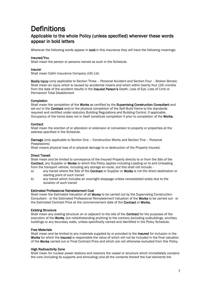## **Definitions**

## Applicable to the whole Policy (unless specified) wherever these words appear in bold letters

Wherever the following words appear in **bold** in this insurance they will have the following meanings:

#### Insured/You

Shall mean the person or persons named as such in the Schedule.

#### Insurer

Shall mean Catlin Insurance Company (UK) Ltd.

Bodily Injury (only applicable to Section Three – Personal Accident and Section Four – Broken Bones) Shall mean an injury which is caused by accidental means and which within twenty four (24) months from the date of the accident results in the Insured Person's Death, Loss of Eye, Loss of Limb or Permanent Total Disablement

#### Completion

Shall mean the completion of the Works as certified by the Supervising Construction Consultant and set out in the **Contract** and/or the physical completion of the Self-Build Home to the standards required and certified under statutory Building Regulations and Building Control, if applicable. Occupancy of the home does not in itself constitute completion if prior to completion of the Works.

#### **Contract**

Shall mean the erection of or alteration or extension or conversion to property or properties at the address specified in the Schedule.

Damage (only applicable to Section One – Construction Works and Section Five – Personal Possessions)

Shall means physical loss of or physical damage to or destruction of the Property Insured.

#### Direct Transit

Shall mean and be limited to conveyance of the Insured Property directly to or from the Site of the Contract, any Supplier or Works to which this Policy applies including Loading on to and Unloading from the transport vehicle, including any storage en-route, but this shall not include: -

- a) any transit where the Site of the Contract or Supplier or Works is not the direct destination or starting point of such transit
- b) any transit which includes an overnight stoppage unless necessitated solely due to the duration of such transit

#### Estimated Professional Reinstatement Cost

Shall mean the Estimated Valuation of all Works to be carried out by the Supervising Construction Consultant - or the Estimated Professional Reinstatement Valuation of the Works to be carried out - or the Estimated Contract Price at the commencement date of the Contract or Works.

#### Existing Structure

Shall mean any existing structure on or adjacent to the site of the **Contract** for the purposes of the execution of the Works, but notwithstanding anything to the contrary excluding outbuildings, ancillary buildings or any boundary walls, unless specifically named and identified in the Policy Schedule.

#### Free Materials

Shall mean and be limited to any materials supplied by or provided to the Insured for inclusion in the Works for which the Insured is responsible the value of which will not be included in the final valuation of the Works carried out or Final Contract Price and which are not otherwise excluded from this Policy.

#### High Radioactivity Zone

Shall mean for nuclear power stations and reactors the vessel or structure which immediately contains the core (including its supports and shrouding) and all the contents thereof the fuel elements the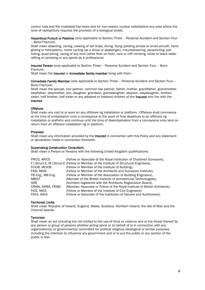control rods and the irradiated fuel store and for non-reactor nuclear installations any area where the level of radioactivity requires the provision of a biological shield.

Hazardous Pursuit or Pastime (only applicable to Section Three - Personal Accident and Section Four – Bone Fracture)

Shall mean abseiling, caving, crewing of tall ships, diving, flying (piloting private or small aircraft, hand gliding or helicopters), motor cycling (as a driver or passenger), mountaineering, parachuting, potholing, quad biking, racing of any kind (other than on foot), rock or cliff climbing, white or black water rafting or canoeing or any sports as a professional.

Insured Person (only applicable to Section Three – Personal Accident and Section Four – Bone Fracture)

Shall mean the Insured or immediate family member living with them.

Immediate Family Member (only applicable to Section Three – Personal Accident and Section Four – Bone Fracture)

Shall mean the spouse, civil partner, common law partner, father, mother, grandfather, grandmother, stepfather, stepmother, son, daughter, grandson, granddaughter, stepson, stepdaughter, brother, sister, half brother, half sister or any adopted or fostered children of the **Insured** who live with the Insured.

#### **Offshore**

Shall mean any visit to or work on any offshore rig installation or platform. Offshore shall commence at the time of embarkation onto a conveyance at the point of final departure to an offshore rig installation or platform and continue until the time of disembarkation from a conveyance onto land on return from an offshore installation rig or platform.

#### Proposal

Shall mean any information provided by the Insured in connection with this Policy and any statement or declaration made in connection therewith.

#### Supervising Construction Consultant

Shall mean a Person or Persons with the following United Kingdom qualifications:

| FRICS, ARICS        | (Fellow or Associate of the Royal Institution of Chartered Surveyors),                  |
|---------------------|-----------------------------------------------------------------------------------------|
|                     | F.I.Struct.E, M.I.Struct.E (Fellow or Member of the Institute of Structural Engineers), |
| FCIOB, MCIOB        | (Fellow or Member of the Institute of Building),                                        |
| FASI, MASI          | (Fellow or Member of the Architects and Surveyors Institute),                           |
| FB Eng., MB Eng.    | (Fellow or Member of the Association of Building Engineers),                            |
| <b>MBIAT</b>        | (Member of the British Institute of Architectural Technologists),                       |
| ARB                 | (Architect registered with the Architects Registration Board),                          |
| CRIBA, ARIBA, FRIBA | (Member, Associate or Fellow of the Royal Institute of British Architects),             |
| FICE, MICE          | (Fellow or Member of the Institute of Civil Engineers)                                  |
| FSVA, ASVA          | (Fellow or Associate of the Institution of Valuers and Auctioneers)                     |
|                     |                                                                                         |

#### Territorial Limits

Shall mean Republic of Ireland, England, Wales, Scotland, Northern Ireland, the Isle of Man and the Channel Islands

#### **Terrorism**

Shall mean an act including but not limited to the use of force or violence and or the threat thereof by any person or group of persons whether acting alone or on behalf of or in connection with any organization(s) or government(s) committed for political religious ideological or similar purposes including the intention to influence any government and or to put the public or any section of the public in fear.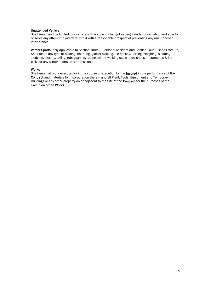#### Unattended Vehicle

Shall mean and be limited to a vehicle with no one in charge keeping it under observation and able to observe any attempt to interfere with it with a reasonable prospect of preventing any unauthorised interference.

Winter Sports (only applicable to Section Three – Personal Accident and Section Four – Bone Fracture) Shall mean any type of blading, boarding, glacier walking, ice hockey, karting, sleighing, sledding, sledging, skating, skiing, tobogganing, tubing, winter walking using snow shoes or crampons & ice picks or any winter sports as a professional.

#### Works

Shall mean all work executed or in the course of execution by the Insured in the performance of the Contract and materials for incorporation therein and all Plant, Tools, Equipment and Temporary Buildings or any other property on or adjacent to the Site of the **Contract** for the purposes of the execution of the Works.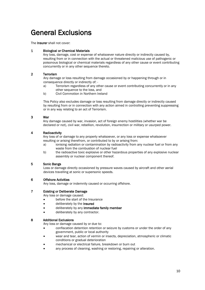## General Exclusions

The Insurer shall not cover:

#### 1 Biological or Chemical Materials

Any loss, damage, cost or expense of whatsoever nature directly or indirectly caused by, resulting from or in connection with the actual or threatened malicious use of pathogenic or poisonous biological or chemical materials regardless of any other cause or event contributing concurrently or in any other sequence thereto.

#### 2 Terrorism

Any damage or loss resulting from damage occasioned by or happening through or in consequence directly or indirectly of: -

- a) Terrorism regardless of any other cause or event contributing concurrently or in any other sequence to the loss, and
- b) Civil Commotion in Northern Ireland

This Policy also excludes damage or loss resulting from damage directly or indirectly caused by resulting from or in connection with any action aimed in controlling preventing suppressing or in any way relating to an act of Terrorism.

#### 3 War

Any damage caused by war, invasion, act of foreign enemy hostilities (whether war be declared or not), civil war, rebellion, revolution, insurrection or military or usurped power.

#### 4 Radioactivity

Any loss of or damage to any property whatsoever, or any loss or expense whatsoever resulting or arising therefrom, or contributed to by or arising from:

- a) ionising radiation or contamination by radioactivity from any nuclear fuel or from any waste from the combustion of nuclear fuel
- b) the radioactive toxic explosive or other hazardous properties of any explosive nuclear assembly or nuclear component thereof.

#### 5 Sonic Bangs

Loss or damage directly occasioned by pressure waves caused by aircraft and other aerial devices travelling at sonic or supersonic speeds.

#### 6 Offshore Activities

Any loss, damage or indemnity caused or occurring offshore.

#### 7 Existing or Deliberate Damage

Any loss or damage caused:

- before the start of the Insurance
- deliberately by the **Insured**
- deliberately by any immediate family member
- deliberately by any contractor.

#### 8 Additional Exclusions

Any loss or damage caused by or due to:

- confiscation detention retention or seizure by customs or under the order of any government, public or local authority
- wear and tear, action of vermin or insects, depreciation, atmospheric or climatic conditions or gradual deterioration
- mechanical or electrical failure, breakdown or burn out
- any process of cleaning, washing or restoring, repairing or alteration.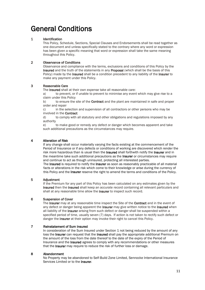# General Conditions

#### 1 Identification

This Policy, Schedule, Sections, Special Clauses and Endorsements shall be read together as one document and unless specifically stated to the contrary where any word or expression has been given a specific meaning that word or expression shall take the same meaning throughout this Policy.

#### 2 Observance of Conditions

Observance and compliance with the terms, exclusions and conditions of this Policy by the Insured and the truth of the statements in any Proposal (which shall be the basis of this Policy) made by the Insured shall be a condition precedent to any liability of the Insurer to make any payment under this Policy.

#### 3 Reasonable Care

The **Insured** shall at their own expense take all reasonable care:

a) to prevent, or if unable to prevent to minimise any event which may give rise to a claim under this Policy

b) to ensure the site of the **Contract** and the plant are maintained in safe and proper order and repair

c) in the selection and supervision of all contractors or other persons who may be involved in the Contract

d) to comply with all statutory and other obligations and regulations imposed by any authority

e) to make good or remedy any defect or danger which becomes apparent and take such additional precautions as the circumstances may require.

#### 4 Alteration of Risk

If any change shall occur materially varying the facts existing at the commencement of the Period of Insurance or if any defects or conditions of working are discovered which render the risk more hazardous than is usual then the Insured shall forthwith notify the Insurer and in the meantime take such additional precautions as the Insurer or circumstances may require and continue to act as though uninsured, protecting all interested parties.

The Insured is required to notify the Insurer as soon as reasonably practicable of all material facts or alterations in the risk which come to their knowledge or arise during the currency of this Policy and the Insurer reserve the right to amend the terms and conditions of the Policy.

#### 5 Adjustment

If the Premium for any part of this Policy has been calculated on any estimates given by the Insured then the Insured shall keep an accurate record containing all relevant particulars and shall at any reasonable time allow the **Insurer** to inspect such record.

#### 6 Suspension of Cover

The Insurer may at any reasonable time inspect the Site of the Contract and in the event of any defect or danger being apparent the **Insurer** may give written notice to the **Insured** when all liability of the Insurer arising from such defect or danger shall be suspended within a specified period of time, usually seven (7) days. If action is not taken to rectify such defect or danger the Insurer at their option may invoke their right to cancel this Policy.

#### 7 Reinstatement of Sum Insured

In consideration of the Sum Insured under Section 1 not being reduced by the amount of any loss the Insurer can request that the Insured shall pay the appropriate additional Premium on the amount of the loss from the date thereof to the date of the expiry of the Period of Insurance and the Insured agrees to comply with any recommendations or other measures that the Insurer may require to reduce the risk of further loss or damage.

#### 8 Abandonment

No Property may be abandoned to Self-Build Zone Limited, Sennocke International Insurance Services Limited or to the **Insurer.**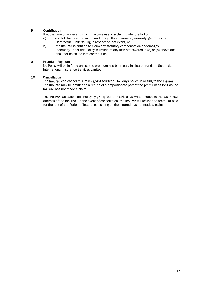#### 9 Contribution

If at the time of any event which may give rise to a claim under the Policy:

- a) a valid claim can be made under any other insurance, warranty, guarantee or Contractual undertaking in respect of that event, or
- b) the Insured is entitled to claim any statutory compensation or damages, indemnity under this Policy is limited to any loss not covered in (a) or (b) above and shall not be called into contribution.

#### 9 Premium Payment

No Policy will be in force unless the premium has been paid in cleared funds to Sennocke International Insurance Services Limited.

#### 10 Cancellation

The Insured can cancel this Policy giving fourteen (14) days notice in writing to the Insurer. The Insured may be entitled to a refund of a proportionate part of the premium as long as the Insured has not made a claim.

The Insurer can cancel this Policy by giving fourteen (14) days written notice to the last known address of the Insured. In the event of cancellation, the Insurer will refund the premium paid for the rest of the Period of Insurance as long as the **Insured** has not made a claim.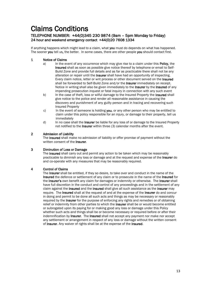## Claims Conditions

#### TELEPHONE NUMBER: +44(0)345 230 9874 (9am – 5pm Monday to Friday) 24 hour and weekend emergency contact +44(0)20 7608 1334

If anything happens which might lead to a claim, what you must do depends on what has happened. The sooner you tell us, the better. In some cases, there are other people you should contact first.

#### 1 Notice of Claims

- a) In the event of any occurrence which may give rise to a claim under this **Policy**, the Insured shall as soon as possible give notice thereof by telephone or email to Self-Build Zone and provide full details and as far as practicable there shall not be any alteration or repair until the **Insurer** shall have had an opportunity of inspecting. Every claim notice, letter or writ process or other document served on the Insured shall be forwarded to Self-Build Zone and/or the **Insurer** immediately on receipt. Notice in writing shall also be given immediately to the **Insurer** by the **Insured** of any impending prosecution inquest or fatal inquiry in connection with any such event
- b) In the case of theft, loss or wilful damage to the Insured Property the Insured shall give notice to the police and render all reasonable assistance in causing the discovery and punishment of any guilty person and in tracing and recovering such Insured Property
- c) In the event of someone is holding you, or any other person who may be entitled to claim under this policy responsible for an injury, or damage to their property, tell us immediately
- d) In no case shall the Insurer be liable for any loss of or damage to the Insured Property not notified to the Insurer within three (3) calendar months after the event.

#### 2 Admission of Liability

The Insured shall make no admission of liability or offer promise of payment without the written consent of the Insurer.

#### 3 Diminution of Loss or Damage

The Insured shall carry out and permit any action to be taken which may be reasonably practicable to diminish any loss or damage and at the request and expense of the Insurer do and co-operate with any measures that may be reasonably required.

#### 4 Control of Claims

The **Insurer** shall be entitled, if they so desire, to take over and conduct in the name of the Insured the defence or settlement of any claim or to prosecute in the name of the Insured for the Insurer's own benefit any claim for damages or indemnity or otherwise. The Insurer shall have full discretion in the conduct and control of any proceedings and in the settlement of any claim against the Insured and the Insured shall give all such assistance as the Insurer may require. The **Insured** shall at the request of and at the expense of the **Insurer** do and concur in doing and permit to be done all such acts and things as may be necessary or reasonably required by the Insurer for the purpose of enforcing any rights and remedies or of obtaining relief or indemnity from other parties to which the Insurer shall be or would become entitled or subrogated upon its paying for or making good any loss or damage under this Policy whether such acts and things shall be or become necessary or required before or after their indemnification by Insurer. The Insured shall not accept any payment nor make nor accept any settlement or arrangement in respect of any loss or damage without the written consent of Insurer. Any waiver of rights shall be at the expense of the Insured.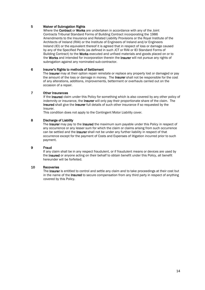#### 5 Waiver of Subrogation Rights

Where the **Contract** or **Works** are undertaken in accordance with any of the Joint Contracts Tribunal Standard Forms of Building Contract incorporating the 1986 Amendments to the Insurance and Related Liability Provisions or the Royal Institute of the Architects of Ireland (RIAI) or the Institute of Engineers of Ireland and/or Engineers Ireland (IEI) or the equivalent thereof it is agreed that in respect of loss or damage caused by any of the Specified Perils (as defined in such JCT or RIAI or IEI Standard Forms of Building Contract) to the **Works** executed and unfixed materials and goods placed on or to the Works and intended for incorporation therein the Insurer will not pursue any rights of subrogation against any nominated sub-contractor.

#### 6 Insurer's Rights to methods of Settlement

The Insurer may at their option repair reinstate or replace any property lost or damaged or pay the amount of the loss or damage in money. The **Insurer** shall not be responsible for the cost of any alterations, additions, improvements, betterment or overhauls carried out on the occasion of a repair.

#### 7 Other Insurances

If the Insured claim under this Policy for something which is also covered by any other policy of indemnity or insurance, the **Insurer** will only pay their proportionate share of the claim. The Insured shall give the Insurer full details of such other insurance if so requested by the Insurer.

This condition does not apply to the Contingent Motor Liability cover.

#### 8 Discharge of Liability

The Insurer may pay to the Insured the maximum sum payable under this Policy in respect of any occurrence or any lesser sum for which the claim or claims arising from such occurrence can be settled and the Insurer shall not be under any further liability in respect of that occurrence except for the payment of Costs and Expenses of litigation incurred prior to such payment.

#### 9 Fraud

If any claim shall be in any respect fraudulent, or if fraudulent means or devices are used by the Insured or anyone acting on their behalf to obtain benefit under this Policy, all benefit hereunder will be forfeited.

#### 10 Recoveries

The Insurer is entitled to control and settle any claim and to take proceedings at their cost but in the name of the **Insured** to secure compensation from any third party in respect of anything covered by this Policy.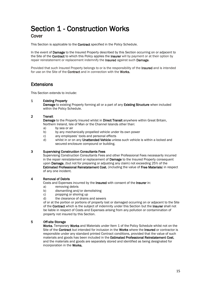## Section 1 - Construction Works **Cover**

This Section is applicable to the **Contract** specified in the Policy Schedule.

In the event of **Damage** to the Insured Property described by this Section occurring on or adjacent to the Site of the **Contract** to which this Policy applies the **Insurer** will by payment or at their option by repair reinstatement or replacement indemnify the Insured against such Damage.

Provided that such Insured Property belongs to or is the responsibility of the **Insured** and is intended for use on the Site of the **Contract** and in connection with the **Works.** 

### **Extensions**

This Section extends to include:

#### 1 Existing Property

Damage to existing Property forming all or a part of any Existing Structure when included within the Policy Schedule.

#### 2 Transit

Damage to the Property Insured whilst in Direct Transit anywhere within Great Britain, Northern Ireland, Isle of Man or the Channel Islands other than:

- a) by sea or air
- b) by any mechanically propelled vehicle under its own power
- c) any employees' tools and personal effects
- d) whilst in or on any Unattended Vehicle unless such vehicle is within a locked and secured enclosure compound or building.

#### 3 Supervising Construction Consultants Fees

Supervising Construction Consultants Fees and other Professional Fees necessarily incurred in the repair reinstatement or replacement of **Damage** to the Insured Property consequent upon Damage, (but not for preparing or adjusting any claim) not exceeding 25% of the Estimated Professional Reinstatement Cost, (including the value of Free Materials) in respect of any one incident.

#### 4 Removal of Debris

Costs and Expenses incurred by the Insured with consent of the Insurer in:

- a) removing debris
- b) dismantling and/or demolishing
- c) propping or shoring up
- d) the clearance of drains and sewers

of or at the portion or portions of property lost or damaged occurring on or adjacent to the Site of the Contract which is the subject of indemnity under this Section but the Insurer shall not be liable in respect of Costs and Expenses arising from any pollution or contamination of property not insured by this Section.

#### 5 Off-site Storage

Works, Temporary Works and Materials under Item 1 of the Policy Schedule whilst not on the Site of the Contract but intended for inclusion in the Works where the Insured or contractor is responsible under any standard printed Contract conditions, provided that the value of such materials and goods has been included in the Estimated Professional Reinstatement Cost, and the materials and goods are separately stored and identified as being designated for incorporation in the Works.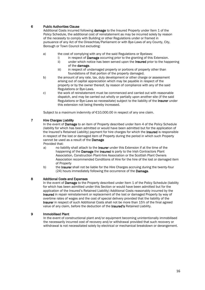#### 6 Public Authorities Clause

Additional Costs incurred following damage to the Insured Property under Item 1 of the Policy Schedule, the additional cost of reinstatement as may be incurred solely by reason of the necessity to comply with Building or other Regulations under or framed in pursuance of any Act of the Oireachtas/Parliament or with Bye-Laws of any County, City, Borough or Town Council but excluding:

- a) the cost of complying with any of the said Regulations or Byelaws:
	- i) in respect of **Damage** occurring prior to the granting of this Extension.
	- ii) under which notice has been served upon the **Insured** prior to the happening of the damage.
	- iii) in respect of undamaged property or portions of property other than foundations of that portion of the property damaged.
- b) the amount of any rate, tax, duty development or other charge or assessment arising out of capital appreciation which may be payable in respect of the property or by the owner thereof, by reason of compliance with any of the said Regulations or Bye-Laws.
- c) the work of reinstatement must be commenced and carried out with reasonable dispatch, and may be carried out wholly or partially upon another site (if the said Regulations or Bye-Laws so necessitate) subject to the liability of the Insurer under this extension not being thereby increased.

Subject to a maximum indemnity of €10,000.00 in respect of any one claim.

#### 7 Hire Charges Liability

In the event of Damage to an item of Property described under Item 4 of the Policy Schedule (liability for which has been admitted or would have been admitted but for the application of the Insured's Retained Liability) payment for hire charges for which the Insured is responsible in respect of the lost or damaged item of Property during the period in which such Property cannot be used as a result of the **Damage** 

Provided that:

- a) no liability shall attach to the **Insurer** under this Extension if at the time of the happening of the Damage the Insured is party to the Irish Contractors Plant Association, Construction Plant-hire Association or the Scottish Plant Owners Association recommended Conditions of Hire for the hire of the lost or damaged item of Property
- b) the Insurer shall not be liable for the Hire Charges accruing during the twenty-four (24) hours immediately following the occurrence of the Damage.

#### 8 Additional Costs and Expenses

In the event of **Damage** to the Property described under Item 1 of the Policy Schedule (liability for which has been admitted under this Section or would have been admitted but for the application of the Insured's Retained Liability) Additional Costs reasonably incurred by the Insured in repair reinstatement or replacement of the lost or damaged Property by way of overtime rates of wages and the cost of special delivery provided that the liability of the Insurer in respect of such Additional Costs shall not be more than 15% of the final agreed value of any claim, before the deduction of the Insured's Retained Liability.

#### 9 Immobilised Plant

In the event of constructional plant and/or equipment becoming unintentionally immobilised the necessarily incurred cost of recovery and/or withdrawal provided that such recovery or withdrawal is not necessitated solely by electrical or mechanical breakdown or derangement.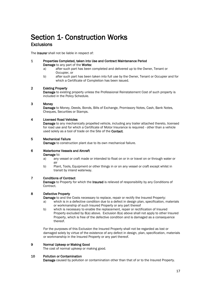# Section 1- Construction Works

## **Exclusions**

The **Insurer** shall not be liable in respect of:

#### 1 Properties Completed, taken into Use and Contract Maintenance Period Damage to any part of the Works:

- a) after such part has been completed and delivered up to the Owner, Tenant or Occupier, or
- b) after such part has been taken into full use by the Owner, Tenant or Occupier and for which a Certificate of Completion has been issued.

#### 2 Existing Property

Damage to existing property unless the Professional Reinstatement Cost of such property is included in the Policy Schedule.

#### 3 Money

Damage to Money, Deeds, Bonds, Bills of Exchange, Promissory Notes, Cash, Bank Notes, Cheques, Securities or Stamps.

#### 4 Licensed Road Vehicles

Damage to any mechanically propelled vehicle, including any trailer attached thereto, licensed for road use and for which a Certificate of Motor Insurance is required - other than a vehicle used solely as a tool of trade on the Site of the Contact.

#### 5 Mechanical Failure

Damage to construction plant due to its own mechanical failure.

#### 6 Waterborne Vessels and Aircraft

Damage to:

- a) any vessel or craft made or intended to float on or in or travel on or through water or air
- b) Plant, Tools, Equipment or other things in or on any vessel or craft except whilst in transit by inland waterway.

#### 7 Conditions of Contract

Damage to Property for which the Insured is relieved of responsibility by any Conditions of Contract.

#### 8 Defective Property

Damage to and the Costs necessary to replace, repair or rectify the Insured Property:

- a) which is in a defective condition due to a defect in design plan, specification, materials or workmanship of such Insured Property or any part thereof
- b) which is necessary to enable the replacement, repair or rectification of Insured Property excluded by 8(a) above. Exclusion 8(a) above shall not apply to other Insured Property, which is free of the defective condition and is damaged as a consequence thereof.

For the purposes of this Exclusion the Insured Property shall not be regarded as lost or damaged solely by virtue of the existence of any defect in design, plan, specification, materials or workmanship in the Insured Property or any part thereof.

#### 9 Normal Upkeep or Making Good

The cost of normal upkeep or making good.

#### 10 Pollution or Contamination

Damage caused by pollution or contamination other than that of or to the Insured Property.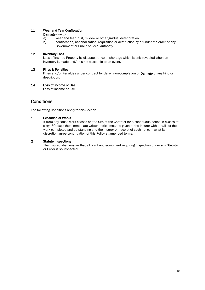#### 11 Wear and Tear Confiscation

#### Damage due to:

- a) wear and tear, rust, mildew or other gradual deterioration
- b) confiscation, nationalisation, requisition or destruction by or under the order of any Government or Public or Local Authority.

#### 12 Inventory Loss

Loss of Insured Property by disappearance or shortage which is only revealed when an inventory is made and/or is not traceable to an event.

#### 13 Fines & Penalties

Fines and/or Penalties under contract for delay, non-completion or Damage of any kind or description.

#### 14 Loss of Income or Use

Loss of income or use.

## **Conditions**

The following Conditions apply to this Section

#### 1 Cessation of Works

If from any cause work ceases on the Site of the Contract for a continuous period in excess of sixty (60) days then immediate written notice must be given to the Insurer with details of the work completed and outstanding and the Insurer on receipt of such notice may at its discretion agree continuation of this Policy at amended terms.

#### 2 Statute Inspections

The Insured shall ensure that all plant and equipment requiring Inspection under any Statute or Order is so inspected.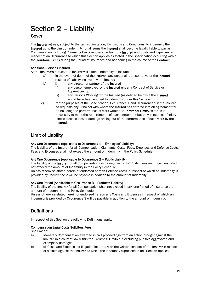# Section 2 – Liability

### Cover

The Insurer agrees, subject to the terms, Limitation, Exclusions and Conditions, to indemnify the Insured up to the Limit of Indemnity for all sums the Insured shall become legally liable to pay as Compensation including Claimants Costs recoverable from the Insured and Costs and Expenses in respect of an Occurrence to which this Section applies as stated in the Specification occurring within the Territorial Limits during the Period of Insurance and happening in the course of the Contract.

#### Additional Persons Insured

At the Insured's request the Insurer will extend indemnity to include:

- a) in the event of death of the Insured, any personal representative of the Insured in respect of liability incurred by the Insured
- b) i) any director or partner of the **Insured** 
	- ii) any person employed by the **Insured** under a Contract of Service or Apprenticeship
		- iii) any Persons Working for the Insured (as defined below) if the Insured would have been entitled to indemnity under this Section
- c) for the purposes of the Specification, Occurrence 1 and Occurrence 2 if the Insured so requests any Principal with whom the **Insured** has entered into an agreement for or including the performance of work within the Territorial Limits as far as is necessary to meet the requirements of such agreement but only in respect of injury illness disease loss or damage arising out of the performance of such work by the Insured.

## Limit of Liability

#### Any One Occurrence (Applicable to Occurrence 1 – Employers' Liability)

The Liability of the Insurer for all Compensation, Claimants' Costs, Fees, Expenses and Defence Costs, Fees and Expenses shall not exceed the amount of Indemnity in the Policy Schedule.

#### Any One Occurrence (Applicable to Occurrence 2 – Public Liability)

The liability of the Insurer for all Compensation (including Claimants' Costs, Fees and Expenses) shall not exceed the amount of Indemnity in the Policy Schedule.

Unless otherwise stated herein or endorsed hereon Defence Costs in respect of which an indemnity is provided by Occurrence 2 will be payable in addition to the amount of Indemnity.

#### Any One Period (Applicable to Occurrence 3 - Products Liability)

The liability of the Insurer for all Compensation shall not exceed in any one Period of Insurance the amount of Indemnity in the Policy Schedule.

Unless otherwise stated herein or endorsed hereon any Costs and Expenses in respect of which an indemnity is provided by Occurrence 3 will be payable in addition to the amount of Indemnity.

## **Definitions**

In respect of this Section the following Definitions apply:

#### Compensation Legal Costs Solicitors Fees

Shall mean:

- a) Monetary Compensation awarded in civil proceedings from an action brought against the Insured in a court of law within the Territorial Limits but excluding punitive aggravated and exemplary damages
- b) All Costs and Expenses of litigation incurred with the written consent of the Insurer in respect of a claim against the Insured to which the indemnity expressed in this Section applies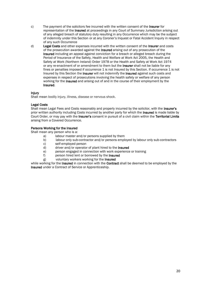- c) The payment of the solicitors fee incurred with the written consent of the Insurer for representation of the Insured at proceedings in any Court of Summary Jurisdiction arising out of any alleged breach of statutory duty resulting in any Occurrence which may be the subject of indemnity under this Section or at any Coroner's Inquest or Fatal Accident Inquiry in respect of any such Occurrence
- d) Legal Costs and other expenses incurred with the written consent of the Insurer and costs of the prosecution awarded against the Insured arising out of any prosecution of the Insured including an appeal against conviction for a breach or alleged breach during the Period of Insurance of the Safety, Health and Welfare at Work Act 2005, the Health and Safety at Work (Northern Ireland) Order 1978 or the Health and Safety at Work Act 1974 or any re-enactment of or amendment to them but the Insurer shall not be liable for any fines or penalties imposed if occurrence 1 is not Insured by this Section. If occurrence 1 is not Insured by this Section the Insurer will not indemnify the Insured against such costs and expenses in respect of prosecutions involving the health safety or welfare of any person working for the **Insured** and arising out of and in the course of their employment by the Insured.

#### Injury

Shall mean bodily injury, illness, disease or nervous shock.

#### Legal Costs

Shall mean Legal Fees and Costs reasonably and properly incurred by the solicitor, with the Insurer's prior written authority including Costs incurred by another party for which the Insured is made liable by Court Order, or may pay with the Insurer's consent in pursuit of a civil claim within the Territorial Limits arising from a Covered Occurrence.

#### Persons Working for the Insured

Shall mean any person who is a:

- a) labour master and/or persons supplied by them
- b) labour only sub-contractor and/or persons employed by labour only sub-contractors
- c) self-employed person
- d) driver and/or operator of plant hired to the **Insured**
- e) person engaged in connection with work experience or training
- f) person hired lent or borrowed by the Insured
- g) voluntary workers working for the Insured

while working for the **Insured** in connection with the **Contract** shall be deemed to be employed by the Insured under a Contract of Service or Apprenticeship.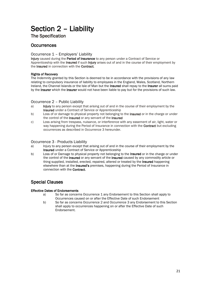# Section 2 – Liability

The Specification

## **Occurrences**

#### Occurrence 1 – Employers' Liability

Injury caused during the Period of Insurance to any person under a Contract of Service or Apprenticeship with the Insured if such Injury arises out of and in the course of their employment by the Insured in connection with the Contract.

#### Rights of Recovery

The Indemnity granted by this Section is deemed to be in accordance with the provisions of any law relating to compulsory insurance of liability to employees in the England, Wales, Scotland, Northern Ireland, the Channel Islands or the Isle of Man but the Insured shall repay to the Insurer all sums paid by the Insurer which the Insurer would not have been liable to pay but for the provisions of such law.

#### Occurrence 2 – Public Liability

- a) Injury to any person except that arising out of and in the course of their employment by the Insured under a Contract of Service or Apprenticeship
- b) Loss of or damage to physical property not belonging to the **Insured** or in the charge or under the control of the **Insured** or any servant of the **Insured**
- c) Loss arising from trespass, nuisance, or interference with any easement of air, light, water or way happening during the Period of Insurance in connection with the **Contract** but excluding occurrences as described in Occurrence 3 hereunder.

#### Occurrence 3 - Products Liability

- a) Injury to any person except that arising out of and in the course of their employment by the Insured under a Contract of Service or Apprenticeship
- b) Loss of or Damage to physical property not belonging to the **Insured** or in the charge or under the control of the Insured or any servant of the Insured caused by any commodity article or thing supplied, installed, erected, repaired, altered or treated by the **Insured** happening elsewhere than at the Insured's premises, happening during the Period of Insurance in connection with the Contract.

### Special Clauses

#### Effective Dates of Endorsements

- a) So far as concerns Occurrence 1 any Endorsement to this Section shall apply to Occurrences caused on or after the Effective Date of such Endorsement
- b) So far as concerns Occurrence 2 and Occurrence 3 any Endorsement to this Section shall apply to occurrences happening on or after the Effective Date of such Endorsement.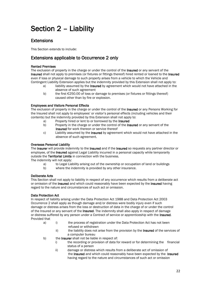# Section 2 – Liability

## **Extensions**

This Section extends to include:

## Extensions applicable to Occurrence 2 only

#### Rented Premises

The exclusion of property in the charge or under the control of the **Insured** or any servant of the Insured shall not apply to premises (or fixtures or fittings thereof) hired rented or loaned to the Insured even if loss or physical damage to such property arises from a vehicle to which the Vehicle and Contingent Liability Extension applies but the indemnity provided by this Extension shall not apply to:

- a) liability assumed by the **Insured** by agreement which would not have attached in the absence of such agreement
- b) the first €250.00 of loss or damage to premises (or fixtures or fittings thereof) caused other than by fire or explosion.

#### Employees and Visitors Personal Effects

The exclusion of property in the charge or under the control of the Insured or any Persons Working for the Insured shall not apply to employees' or visitor's personal effects (including vehicles and their contents) but the indemnity provided by this Extension shall not apply to:

- a) Property hired or lent to or borrowed by the Insured
- b) Property in the charge or under the control of the **Insured** or any servant of the Insured for work thereon or service thereof
- c) Liability assumed by the Insured by agreement which would not have attached in the absence of such agreement.

#### Overseas Personal Liability

The Insurer will provide indemnity to the Insured and if the Insured so requests any partner director or employee, of the Insured against Legal Liability incurred in a personal capacity while temporarily outside the Territorial Limits in connection with the business.

The indemnity will not apply:

- a) to Legal Liability arising out of the ownership or occupation of land or buildings
- b) where the indemnity is provided by any other insurance.

#### Deliberate Acts

This Section shall not apply to liability in respect of any occurrence which results from a deliberate act or omission of the Insured and which could reasonably have been expected by the Insured having regard to the nature and circumstances of such act or omission.

#### Data Protection Act

In respect of liability arising under the Data Protection Act 1988 and Data Protection Act 2003 Occurrence 2 shall apply as though damage and/or distress were bodily injury even if such damage or distress arises from the loss or destruction of data in the charge of or under the control of the Insured or any servant of the Insured. The indemnity shall also apply in respect of damage or distress suffered by any person under a Contract of service or apprenticeship with the Insured. Provided that

- a) i) the process of registration under the Data Protection Act has not been refused or withdrawn
	- ii) the liability does not arise from the provision by the Insured of the services of a computer bureau
- b) the **Insurer** shall not be liable in respect of:
	- i) the recording or provision of data for reward or for determining the financial status of a person
	- ii) damage or distress which results from a deliberate act of omission of the Insured and which could reasonably have been expected by the Insured having regard to the nature and circumstances of such act or omission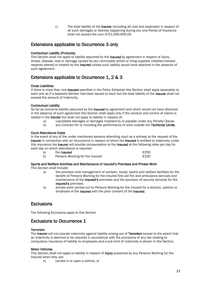c) The total liability of the **Insurer** (including all cost and expenses) in respect of all such damages or distress happening during any one Period of Insurance shall not exceed the sum of €1,000,000,00.

### Extensions applicable to Occurrence 3 only

#### Contractual Liability (Products)

This Section shall not apply to liability assumed by the **Insured** by agreement in respect of injury, illness, disease, loss or damage caused by any commodity article or thing supplied installed erected repaired altered or treated by the **Insured** unless such liability would have attached in the absence of such agreement.

## Extensions applicable to Occurrence 1, 2 & 3

#### Cross Liabilities

If there is more than one **Insured** specified in the Policy Schedule this Section shall apply separately to each one as if a separate Section had been issued to each but the total liability of the **Insurer** shall not exceed the amount of Indemnity.

#### Contractual Liability

So far as concerns liability assumed by the **Insured** by agreement and which would not have attached in the absence of such agreement this Section shall apply only if the conduct and control of claims is vested in the Insurer but shall not apply to liability in respect of:

- a) Liquidated damages or damages imposed by or payable under any Penalty Clause
- b) any Contract for or including the performance of work outside the Territorial Limits.

#### Court Attendance Costs

In the event of any of the under mentioned persons attending court as a witness at the request of the Insurer in connection with an Occurrence in respect of which the Insured is entitled to indemnity under this insurance the Insurer will provide compensation to the Insured at the following rates per day for each day on which attendance is required:

| a) | the Insured                     | €250 |
|----|---------------------------------|------|
| b) | Persons Working for the Insured | €100 |

#### Sports and Welfare Activities and Maintenance of Insured's Premises and Private Work

This Section shall include:

- a) the provision and management of canteen, social, sports and welfare facilities for the benefit of Persons Working for the Insured first aid fire and ambulance services and maintenance of the Insured's premises and the provision of security services for the Insured's premises
- b) private work carried out by Persons Working for the Insured for a director, partner or employee of the Insured with the prior consent of the Insured.

## **Exclusions**

The following Exclusions apply to this Section

### Exclusions to Occurrence 1

#### **Terrorism**

The Insurer will not provide indemnity against liability arising out of Terrorism except to the extent that an indemnity is deemed to be required in accordance with the provisions of any law relating to compulsory insurance of liability to employees and a sub limit of indemnity is shown in this Section.

#### Motor Vehicles

This Section shall not apply to liability in respect of **Injury** sustained by any Persons Working for the Insured when they are:

a) carried in or upon a vehicle, or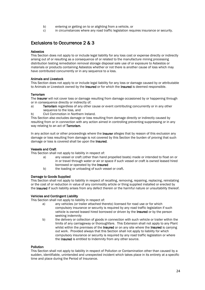- b) entering or getting on to or alighting from a vehicle, or
- c) in circumstances where any road traffic legislation requires insurance or security.

## Exclusions to Occurrence 2 & 3

#### Asbestos

This Section does not apply to or include legal liability for any loss cost or expense directly or indirectly arising out of or resulting as a consequence of or related to the manufacture mining processing distribution testing remediation removal storage disposal sale use of or exposure to Asbestos or materials or products containing Asbestos whether or not there is another cause of loss which may have contributed concurrently or in any sequence to a loss.

#### Animals and Livestock

This Section does not apply to or include legal liability for any loss or damage caused by or attributable to Animals or Livestock owned by the Insured or for which the Insured is deemed responsible.

#### **Terrorism**

The Insurer will not cover loss or damage resulting from damage occasioned by or happening through or in consequence directly or indirectly of:

- a) Terrorism regardless of any other cause or event contributing concurrently or in any other sequence to the loss, and
- b) Civil Commotion in Northern Ireland.

This Section also excludes damage or loss resulting from damage directly or indirectly caused by resulting from or in connection with any action aimed in controlling preventing suppressing or in any way relating to an act of Terrorism.

In any action suit or other proceedings where the Insurer alleges that by reason of this exclusion any damage or loss resulting from damage is not covered by this Section the burden of proving that such damage or loss is covered shall be upon the **Insured**.

#### Vessels and Craft

This Section shall not apply to liability in respect of:

- a) any vessel or craft (other than hand propelled boats) made or intended to float on or in or travel through water or air or space if such vessel or craft is owned leased hired borrowed or operated by the Insured
- b) the loading or unloading of such vessel or craft.

#### Damage to Goods Supplied

This Section shall not apply to liability in respect of recalling, removing, repairing, replacing, reinstating or the cost of or reduction in value of any commodity article or thing supplied installed or erected by the Insured if such liability arises from any defect therein or the harmful nature or unsuitability thereof.

#### Vehicles and Contingent Liability

This Section shall not apply to liability in respect of:

- a) any vehicles (or trailer attached thereto) licensed for road use or for which compulsory insurance or security is required by any road traffic legislation if such vehicle is owned leased hired borrowed or driven by the **Insured** or by the person seeking indemnity
- b) the delivery or collection of goods in connection with such vehicle or trailer within the limits of any carriageway or thoroughfare. This Extension shall not apply to any Plant whilst within the premises of the Insured or on any site where the Insured is carrying out work. Provided always that this Section shall not apply to liability for which compulsory insurance or security is required by any road traffic legislation or where the Insured is entitled to Indemnity from any other source.

#### Pollution

This Section shall not apply to liability in respect of Pollution or Contamination other than caused by a sudden, identifiable, unintended and unexpected incident which takes place in its entirety at a specific time and place during the Period of Insurance.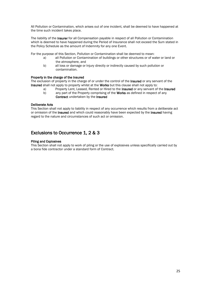All Pollution or Contamination, which arises out of one incident, shall be deemed to have happened at the time such incident takes place.

The liability of the Insurer for all Compensation payable in respect of all Pollution or Contamination which is deemed to have happened during the Period of Insurance shall not exceed the Sum stated in the Policy Schedule as the amount of Indemnity for any one Event.

For the purpose of this Section, Pollution or Contamination shall be deemed to mean:

- a) all Pollution or Contamination of buildings or other structures or of water or land or the atmosphere, and
- b) all loss or damage or Injury directly or indirectly caused by such pollution or contamination.

#### Property in the charge of the Insured

The exclusion of property in the charge of or under the control of the **Insured** or any servant of the Insured shall not apply to property whilst at the Works but this clause shall not apply to:

- a) Property Lent, Leased, Rented or Hired to the **Insured** or any servant of the **Insured**
- b) any part of the Property comprising of the **Works** as defined in respect of any Contract undertaken by the Insured

#### Deliberate Acts

This Section shall not apply to liability in respect of any occurrence which results from a deliberate act or omission of the Insured and which could reasonably have been expected by the Insured having regard to the nature and circumstances of such act or omission.

### Exclusions to Occurrence 1, 2 & 3

#### Piling and Explosives

This Section shall not apply to work of piling or the use of explosives unless specifically carried out by a bona fide contractor under a standard form of Contract.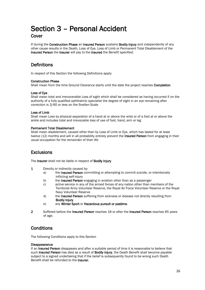## Section 3 – Personal Accident Cover

If during the Construction Phase an Insured Person sustains Bodily Injury and independently of any other cause results in the Death, Loss of Eye, Loss of Limb or Permanent Total Disablement of the Insured Person the Insurer will pay to the Insured the Benefit specified.

## **Definitions**

In respect of this Section the following Definitions apply:

#### Construction Phase

Shall mean from the time Ground Clearance starts until the date the project reaches Completion

#### Loss of Eye

Shall mean total and irrecoverable Loss of sight which shall be considered as having occurred if on the authority of a fully qualified ophthalmic specialist the degree of sight in an eye remaining after correction is 3/60 or less on the Snellen Scale

#### Loss of Limb

Shall mean Loss by physical separation of a hand at or above the wrist or of a foot at or above the ankle and includes total and irrevocable loss of use of foot, hand, arm or leg

#### Permanent Total Disablement

Shall mean disablement, caused other than by Loss of Limb or Eye, which has lasted for at least twelve (12) months and will in all probability entirely prevent the Insured Person from engaging in their usual occupation for the remainder of their life

### **Exclusions**

The Insurer shall not be liable in respect of Bodily Injury

- 1 Directly or indirectly caused by:
	- a) the Insured Person committing or attempting to commit suicide, or intentionally inflicting self-injury
	- b) the **Insured Person** engaging in aviation other than as a passenger
	- c) active service in any of the armed forces of any nation other than members of the Territorial Army Volunteer Reserve, the Royal Air Force Volunteer Reserve or the Royal Navy Volunteer Reserve
	- d) the Insured Person suffering from sickness or disease not directly resulting from Bodily Injury
	- e) any Winter Sport or Hazardous pursuit or pastime.
- 2 Suffered before the Insured Person reaches 18 or after the Insured Person reaches 65 years of age.

## **Conditions**

The following Conditions apply to this Section

#### **Disappearance**

If an **Insured Person** disappears and after a suitable period of time it is reasonable to believe that such Insured Person has died as a result of Bodily Injury, the Death Benefit shall become payable subject to a signed undertaking that if the belief is subsequently found to be wrong such Death Benefit shall be refunded to the Insurer.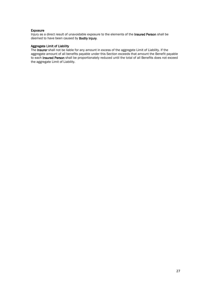#### Exposure

Injury as a direct result of unavoidable exposure to the elements of the Insured Person shall be deemed to have been caused by Bodily Injury.

#### Aggregate Limit of Liability

The Insurer shall not be liable for any amount in excess of the aggregate Limit of Liability. If the aggregate amount of all benefits payable under this Section exceeds that amount the Benefit payable to each Insured Person shall be proportionately reduced until the total of all Benefits does not exceed the aggregate Limit of Liability.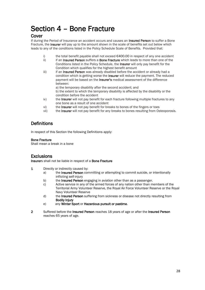## Section 4 – Bone Fracture

### Cover

If during the Period of Insurance an accident occurs and causes an **Insured Person** to suffer a Bone Fracture, the **Insurer** will pay up to the amount shown in the scale of benefits set out below which leads to any of the conditions listed in the Policy Schedule Scale of Benefits. Provided that:

- i) the total benefit payable shall not exceed  $\epsilon$ 400.00 in respect of any one accident
- ii) if an Insured Person suffers a Bone Fracture which leads to more than one of the Conditions listed in the Policy Schedule, the Insurer will only pay benefit for the Condition which qualifies for the highest benefit amount
- iii) iii) if an Insured Person was already disabled before the accident or already had a condition which is getting worse the Insurer will reduce the payment. The reduced payment will be based on the **Insurer's** medical assessment of the difference between:

a) the temporary disability after the second accident; and b) the extent to which the temporary disability is affected by the disability or the condition before the accident

- iv) the Insurer will not pay benefit for each fracture following multiple fractures to any one bone as a result of one accident
- vi) the Insurer will not pay benefit for breaks to bones of the fingers or toes
- vii) the Insurer will not pay benefit for any breaks to bones resulting from Osteoporosis.

## **Definitions**

In respect of this Section the following Definitions apply:

#### Bone Fracture

Shall mean a break in a bone

## **Exclusions**

Insurers shall not be liable in respect of a Bone Fracture

- 1 Directly or indirectly caused by:
	- a) the Insured Person committing or attempting to commit suicide, or intentionally inflicting self-injury
	- b) the Insured Person engaging in aviation other than as a passenger.
	- c) Active service in any of the armed forces of any nation other than members of the Territorial Army Volunteer Reserve, the Royal Air Force Volunteer Reserve or the Royal Navy Volunteer Reserve
	- d) the Insured Person suffering from sickness or disease not directly resulting from Bodily Injury
	- e) any Winter Sport or Hazardous pursuit or pastime.
- 2 Suffered before the Insured Person reaches 18 years of age or after the Insured Person reaches 65 years of age.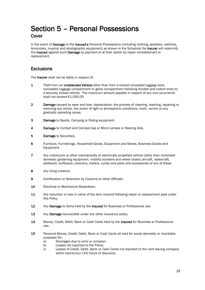## Section 5 – Personal Possessions **Cover**

In the event of **Damage** to the **Insured's** Personal Possessions (including clothing, jewellery, watches, binoculars, musical and photographic equipment) as shown in the Schedule the **Insurer** will indemnify the Insured against such Damage by payment or at their option by repair reinstatement or replacement.

## **Exclusions**

The **Insurer** shall not be liable in respect of:

- 1 Theft from an Unattended Vehicle other than from a locked concealed luggage boot, concealed luggage compartment or glove compartment following forcible and violent entry to a securely locked vehicle. The maximum amount payable in respect of any one occurrence shall not exceed €1,000.00.
- 2 Damage caused by wear and tear, depreciation, the process of cleaning, washing, repairing or restoring any article, the action of light or atmospheric conditions, moth, vermin or any gradually operating cause.
- 3 Damage to Sports, Camping or Riding equipment.
- 4 Damage to Contact and Corneal Cap or Micro Lenses or Hearing Aids.
- 5 Damage to Securities.
- 6 Furniture, Furnishings, Household Goods, Equipment and Stores, Business Goods and Equipment.
- 7 Any motorcycle or other mechanically or electrically propelled vehicle (other than motorised domestic gardening equipment, mobility scooters and wheel chairs) aircraft, watercraft, sailboard, surfboard, caravans, trailers, cycles and parts and accessories of any of these.
- 8 Any living creature.
- 9 Confiscation or Detention by Customs or other Officials.
- 10 Electrical or Mechanical Breakdown.
- 11 Any reduction or loss in value of the item insured following repair or replacement paid under this Policy
- 12 Any Damage to items held by the Insured for Business or Professional use.
- 13 Any Damage recoverable under any other insurance policy.
- 14 Money, Credit, Debit, Bank or Cash Cards held by the Insured for Business or Professional use.
- 15 Personal Money, Credit, Debit, Bank or Cash Cards all held for social domestic or charitable purposes for:
	- a) Shortages due to error or omission
	- b) Losses not reported to the Police
	- c) Losses of Credit, Debit, Bank or Cash Cards not reported to the card issuing company within twenty-four (24) hours of discovery.